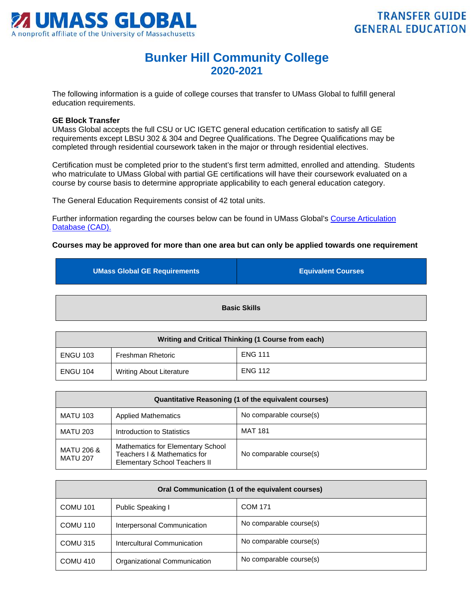

## **Bunker Hill Community College 2020-2021**

The following information is a guide of college courses that transfer to UMass Global to fulfill general education requirements.

## **GE Block Transfer**

UMass Global accepts the full CSU or UC IGETC general education certification to satisfy all GE requirements except LBSU 302 & 304 and Degree Qualifications. The Degree Qualifications may be completed through residential coursework taken in the major or through residential electives.

Certification must be completed prior to the student's first term admitted, enrolled and attending. Students who matriculate to UMass Global with partial GE certifications will have their coursework evaluated on a course by course basis to determine appropriate applicability to each general education category.

The General Education Requirements consist of 42 total units.

Further information regarding the courses below can be found in UMass Global's [Course Articulation](http://services.umassglobal.edu/studentservices/TransferCredit/)  Database (CAD).

## **Courses may be approved for more than one area but can only be applied towards one requirement**

| <b>UMass Global GE Requirements</b> | <b>Equivalent Courses</b> |
|-------------------------------------|---------------------------|
|                                     |                           |
| <b>Basic Skills</b>                 |                           |

| Writing and Critical Thinking (1 Course from each) |                                 |                |
|----------------------------------------------------|---------------------------------|----------------|
| <b>ENGU 103</b>                                    | Freshman Rhetoric               | <b>ENG 111</b> |
| ENGU 104                                           | <b>Writing About Literature</b> | <b>ENG 112</b> |

| Quantitative Reasoning (1 of the equivalent courses) |                                                                                                           |                         |
|------------------------------------------------------|-----------------------------------------------------------------------------------------------------------|-------------------------|
| <b>MATU 103</b>                                      | <b>Applied Mathematics</b>                                                                                | No comparable course(s) |
| <b>MATU 203</b>                                      | Introduction to Statistics                                                                                | <b>MAT 181</b>          |
| MATU 206 &<br><b>MATU 207</b>                        | Mathematics for Elementary School<br>Teachers I & Mathematics for<br><b>Elementary School Teachers II</b> | No comparable course(s) |

| Oral Communication (1 of the equivalent courses) |                              |                         |
|--------------------------------------------------|------------------------------|-------------------------|
| <b>COMU 101</b>                                  | Public Speaking I            | <b>COM 171</b>          |
| COMU 110                                         | Interpersonal Communication  | No comparable course(s) |
| COMU 315                                         | Intercultural Communication  | No comparable course(s) |
| COMU 410                                         | Organizational Communication | No comparable course(s) |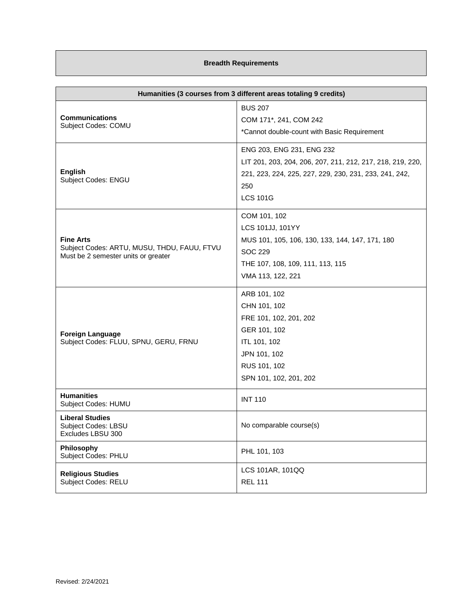## **Breadth Requirements**

| Humanities (3 courses from 3 different areas totaling 9 credits)                                       |                                                                                                                                                                             |
|--------------------------------------------------------------------------------------------------------|-----------------------------------------------------------------------------------------------------------------------------------------------------------------------------|
| <b>Communications</b><br>Subject Codes: COMU                                                           | <b>BUS 207</b><br>COM 171*, 241, COM 242<br>*Cannot double-count with Basic Requirement                                                                                     |
| <b>English</b><br>Subject Codes: ENGU                                                                  | ENG 203, ENG 231, ENG 232<br>LIT 201, 203, 204, 206, 207, 211, 212, 217, 218, 219, 220,<br>221, 223, 224, 225, 227, 229, 230, 231, 233, 241, 242,<br>250<br><b>LCS 101G</b> |
| <b>Fine Arts</b><br>Subject Codes: ARTU, MUSU, THDU, FAUU, FTVU<br>Must be 2 semester units or greater | COM 101, 102<br>LCS 101JJ, 101YY<br>MUS 101, 105, 106, 130, 133, 144, 147, 171, 180<br><b>SOC 229</b><br>THE 107, 108, 109, 111, 113, 115<br>VMA 113, 122, 221              |
| <b>Foreign Language</b><br>Subject Codes: FLUU, SPNU, GERU, FRNU                                       | ARB 101, 102<br>CHN 101, 102<br>FRE 101, 102, 201, 202<br>GER 101, 102<br>ITL 101, 102<br>JPN 101, 102<br>RUS 101, 102<br>SPN 101, 102, 201, 202                            |
| <b>Humanities</b><br>Subject Codes: HUMU                                                               | <b>INT 110</b>                                                                                                                                                              |
| <b>Liberal Studies</b><br>Subject Codes: LBSU<br>Excludes LBSU 300                                     | No comparable course(s)                                                                                                                                                     |
| Philosophy<br>Subject Codes: PHLU                                                                      | PHL 101, 103                                                                                                                                                                |
| <b>Religious Studies</b><br>Subject Codes: RELU                                                        | LCS 101AR, 101QQ<br><b>REL 111</b>                                                                                                                                          |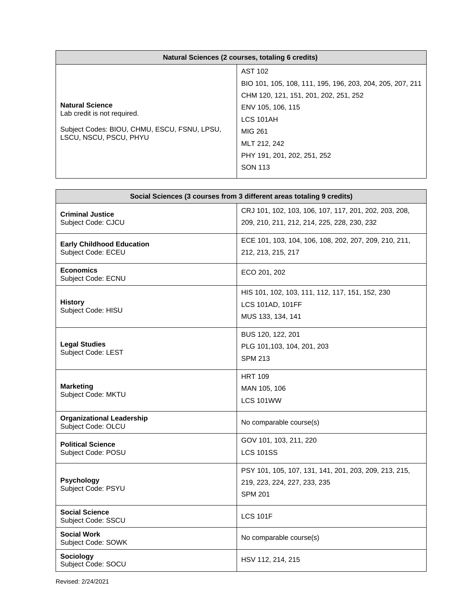| Natural Sciences (2 courses, totaling 6 credits)                                                                                |                                                           |
|---------------------------------------------------------------------------------------------------------------------------------|-----------------------------------------------------------|
|                                                                                                                                 | <b>AST 102</b>                                            |
| <b>Natural Science</b><br>Lab credit is not required.<br>Subject Codes: BIOU, CHMU, ESCU, FSNU, LPSU,<br>LSCU, NSCU, PSCU, PHYU | BIO 101, 105, 108, 111, 195, 196, 203, 204, 205, 207, 211 |
|                                                                                                                                 | CHM 120, 121, 151, 201, 202, 251, 252                     |
|                                                                                                                                 | ENV 105, 106, 115                                         |
|                                                                                                                                 | LCS 101AH                                                 |
|                                                                                                                                 | MIG 261                                                   |
|                                                                                                                                 | MLT 212, 242                                              |
|                                                                                                                                 | PHY 191, 201, 202, 251, 252                               |
|                                                                                                                                 | <b>SON 113</b>                                            |
|                                                                                                                                 |                                                           |

| Social Sciences (3 courses from 3 different areas totaling 9 credits) |                                                                                                         |
|-----------------------------------------------------------------------|---------------------------------------------------------------------------------------------------------|
| <b>Criminal Justice</b><br>Subject Code: CJCU                         | CRJ 101, 102, 103, 106, 107, 117, 201, 202, 203, 208,<br>209, 210, 211, 212, 214, 225, 228, 230, 232    |
| <b>Early Childhood Education</b><br>Subject Code: ECEU                | ECE 101, 103, 104, 106, 108, 202, 207, 209, 210, 211,<br>212, 213, 215, 217                             |
| <b>Economics</b><br>Subject Code: ECNU                                | ECO 201, 202                                                                                            |
| <b>History</b><br>Subject Code: HISU                                  | HIS 101, 102, 103, 111, 112, 117, 151, 152, 230<br>LCS 101AD, 101FF<br>MUS 133, 134, 141                |
| <b>Legal Studies</b><br>Subject Code: LEST                            | BUS 120, 122, 201<br>PLG 101,103, 104, 201, 203<br><b>SPM 213</b>                                       |
| <b>Marketing</b><br>Subject Code: MKTU                                | <b>HRT 109</b><br>MAN 105, 106<br>LCS 101WW                                                             |
| <b>Organizational Leadership</b><br>Subject Code: OLCU                | No comparable course(s)                                                                                 |
| <b>Political Science</b><br>Subject Code: POSU                        | GOV 101, 103, 211, 220<br><b>LCS 101SS</b>                                                              |
| <b>Psychology</b><br>Subject Code: PSYU                               | PSY 101, 105, 107, 131, 141, 201, 203, 209, 213, 215,<br>219, 223, 224, 227, 233, 235<br><b>SPM 201</b> |
| <b>Social Science</b><br>Subject Code: SSCU                           | <b>LCS 101F</b>                                                                                         |
| <b>Social Work</b><br>Subject Code: SOWK                              | No comparable course(s)                                                                                 |
| <b>Sociology</b><br>Subject Code: SOCU                                | HSV 112, 214, 215                                                                                       |